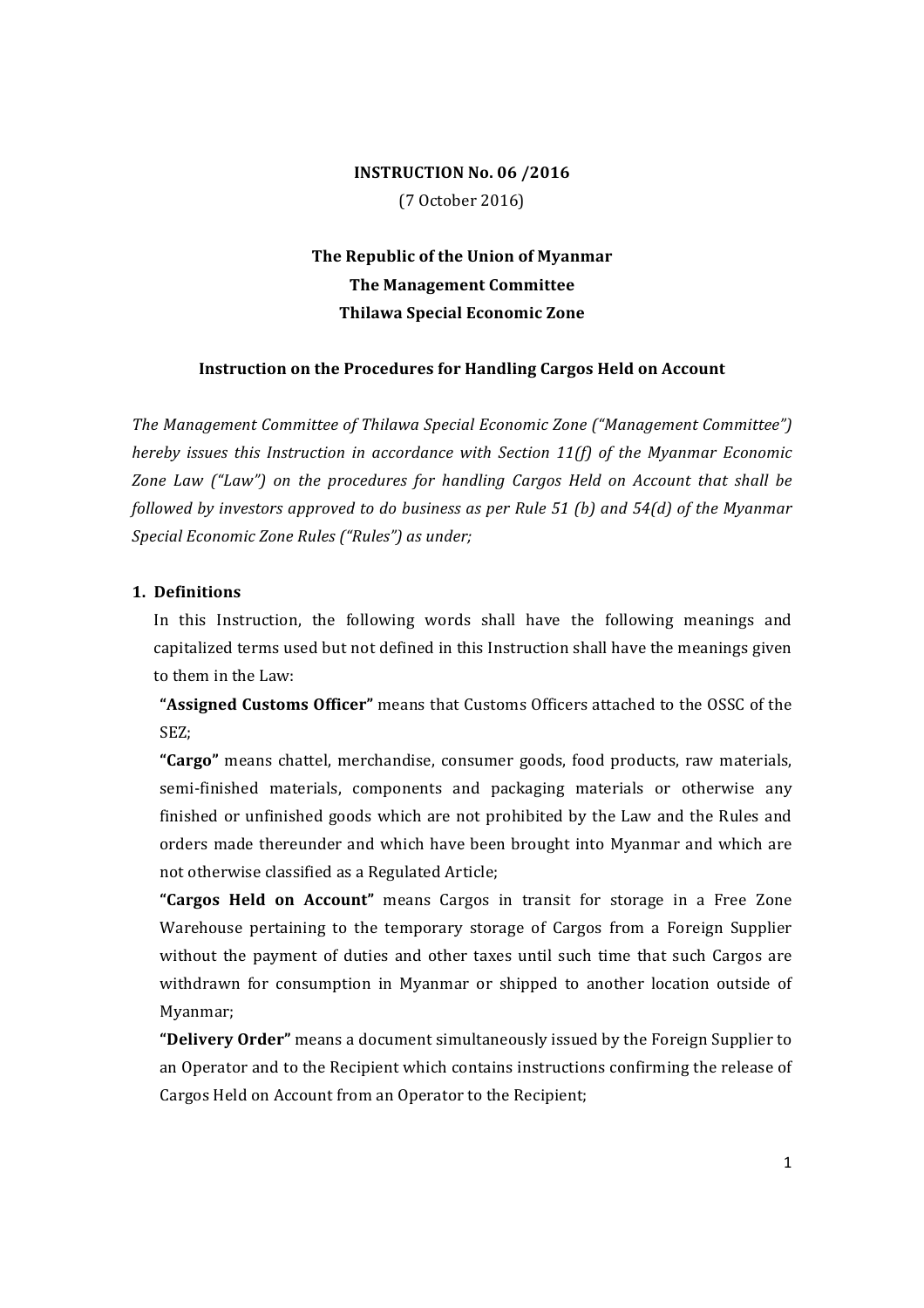## **INSTRUCTION No. 06 /2016** (7 October 2016)

The Republic of the Union of Myanmar **The Management Committee Thilawa Special Economic Zone**

### **Instruction on the Procedures for Handling Cargos Held on Account**

The Management Committee of Thilawa Special Economic Zone ("Management Committee") *hereby issues this Instruction in accordance with Section 11(f) of the Myanmar Economic Zone Law* ("Law") on the procedures for handling Cargos Held on Account that shall be *followed by investors approved to do business as per Rule 51 (b) and 54(d) of the Myanmar Special Economic Zone Rules ("Rules") as under:* 

#### **1. Definitions**

In this Instruction, the following words shall have the following meanings and capitalized terms used but not defined in this Instruction shall have the meanings given to them in the Law:

"Assigned Customs Officer" means that Customs Officers attached to the OSSC of the SEZ;

**"Cargo"** means chattel, merchandise, consumer goods, food products, raw materials, semi-finished materials, components and packaging materials or otherwise any finished or unfinished goods which are not prohibited by the Law and the Rules and orders made thereunder and which have been brought into Myanmar and which are not otherwise classified as a Regulated Article;

"Cargos Held on Account" means Cargos in transit for storage in a Free Zone Warehouse pertaining to the temporary storage of Cargos from a Foreign Supplier without the payment of duties and other taxes until such time that such Cargos are withdrawn for consumption in Myanmar or shipped to another location outside of Myanmar;

**"Delivery Order"** means a document simultaneously issued by the Foreign Supplier to an Operator and to the Recipient which contains instructions confirming the release of Cargos Held on Account from an Operator to the Recipient;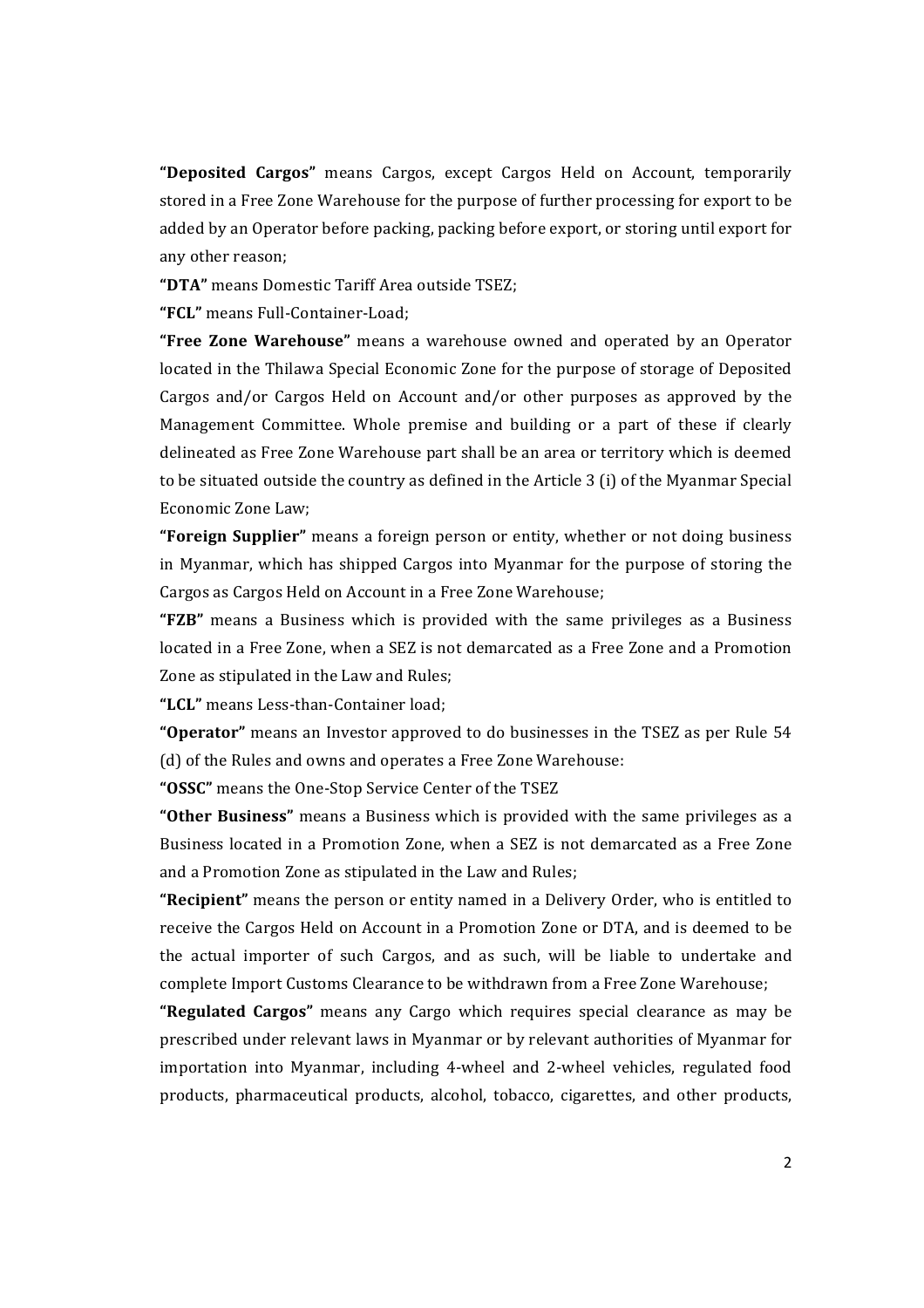**"Deposited Cargos"** means Cargos, except Cargos Held on Account, temporarily stored in a Free Zone Warehouse for the purpose of further processing for export to be added by an Operator before packing, packing before export, or storing until export for any other reason:

**"DTA"** means Domestic Tariff Area outside TSEZ;

**"FCL"** means Full-Container-Load;

**"Free Zone Warehouse"** means a warehouse owned and operated by an Operator located in the Thilawa Special Economic Zone for the purpose of storage of Deposited Cargos and/or Cargos Held on Account and/or other purposes as approved by the Management Committee. Whole premise and building or a part of these if clearly delineated as Free Zone Warehouse part shall be an area or territory which is deemed to be situated outside the country as defined in the Article  $3$  (i) of the Myanmar Special Economic Zone Law;

**"Foreign Supplier"** means a foreign person or entity, whether or not doing business in Myanmar, which has shipped Cargos into Myanmar for the purpose of storing the Cargos as Cargos Held on Account in a Free Zone Warehouse;

**"FZB"** means a Business which is provided with the same privileges as a Business located in a Free Zone, when a SEZ is not demarcated as a Free Zone and a Promotion Zone as stipulated in the Law and Rules:

"LCL" means Less-than-Container load:

**"Operator"** means an Investor approved to do businesses in the TSEZ as per Rule 54 (d) of the Rules and owns and operates a Free Zone Warehouse:

"OSSC" means the One-Stop Service Center of the TSEZ

**"Other Business"** means a Business which is provided with the same privileges as a Business located in a Promotion Zone, when a SEZ is not demarcated as a Free Zone and a Promotion Zone as stipulated in the Law and Rules;

"Recipient" means the person or entity named in a Delivery Order, who is entitled to receive the Cargos Held on Account in a Promotion Zone or DTA, and is deemed to be the actual importer of such Cargos, and as such, will be liable to undertake and complete Import Customs Clearance to be withdrawn from a Free Zone Warehouse;

**"Regulated Cargos"** means any Cargo which requires special clearance as may be prescribed under relevant laws in Myanmar or by relevant authorities of Myanmar for importation into Myanmar, including 4-wheel and 2-wheel vehicles, regulated food products, pharmaceutical products, alcohol, tobacco, cigarettes, and other products,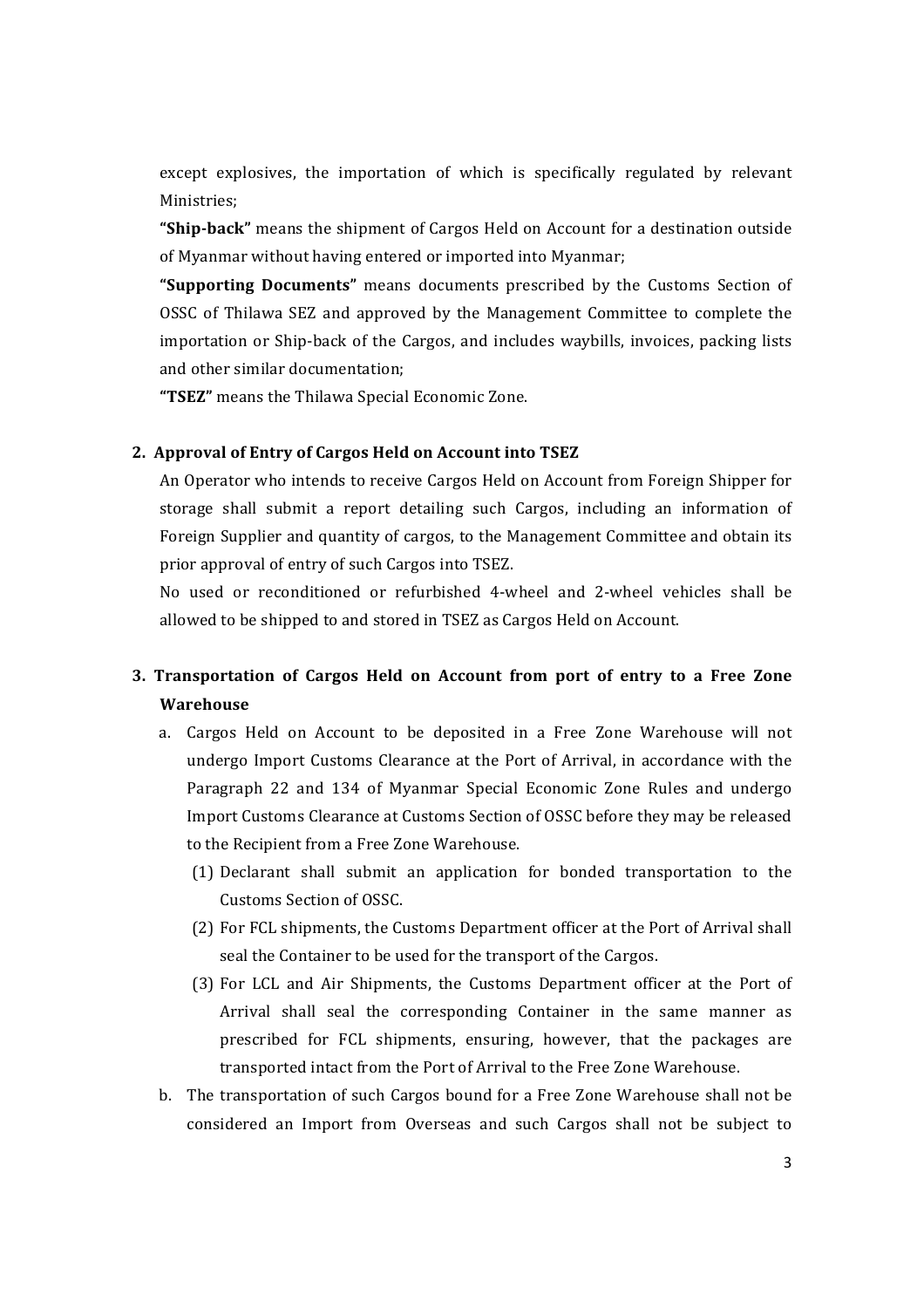except explosives, the importation of which is specifically regulated by relevant Ministries;

"Ship-back" means the shipment of Cargos Held on Account for a destination outside of Myanmar without having entered or imported into Myanmar;

**"Supporting Documents"** means documents prescribed by the Customs Section of OSSC of Thilawa SEZ and approved by the Management Committee to complete the importation or Ship-back of the Cargos, and includes waybills, invoices, packing lists and other similar documentation:

"TSEZ" means the Thilawa Special Economic Zone.

### **2. Approval of Entry of Cargos Held on Account into TSEZ**

An Operator who intends to receive Cargos Held on Account from Foreign Shipper for storage shall submit a report detailing such Cargos, including an information of Foreign Supplier and quantity of cargos, to the Management Committee and obtain its prior approval of entry of such Cargos into TSEZ.

No used or reconditioned or refurbished 4-wheel and 2-wheel vehicles shall be allowed to be shipped to and stored in TSEZ as Cargos Held on Account.

## **3. Transportation of Cargos Held on Account from port of entry to a Free Zone Warehouse**

- a. Cargos Held on Account to be deposited in a Free Zone Warehouse will not undergo Import Customs Clearance at the Port of Arrival, in accordance with the Paragraph 22 and 134 of Myanmar Special Economic Zone Rules and undergo Import Customs Clearance at Customs Section of OSSC before they may be released to the Recipient from a Free Zone Warehouse.
	- (1) Declarant shall submit an application for bonded transportation to the Customs Section of OSSC.
	- (2) For FCL shipments, the Customs Department officer at the Port of Arrival shall seal the Container to be used for the transport of the Cargos.
	- (3) For LCL and Air Shipments, the Customs Department officer at the Port of Arrival shall seal the corresponding Container in the same manner as prescribed for FCL shipments, ensuring, however, that the packages are transported intact from the Port of Arrival to the Free Zone Warehouse.
- b. The transportation of such Cargos bound for a Free Zone Warehouse shall not be considered an Import from Overseas and such Cargos shall not be subject to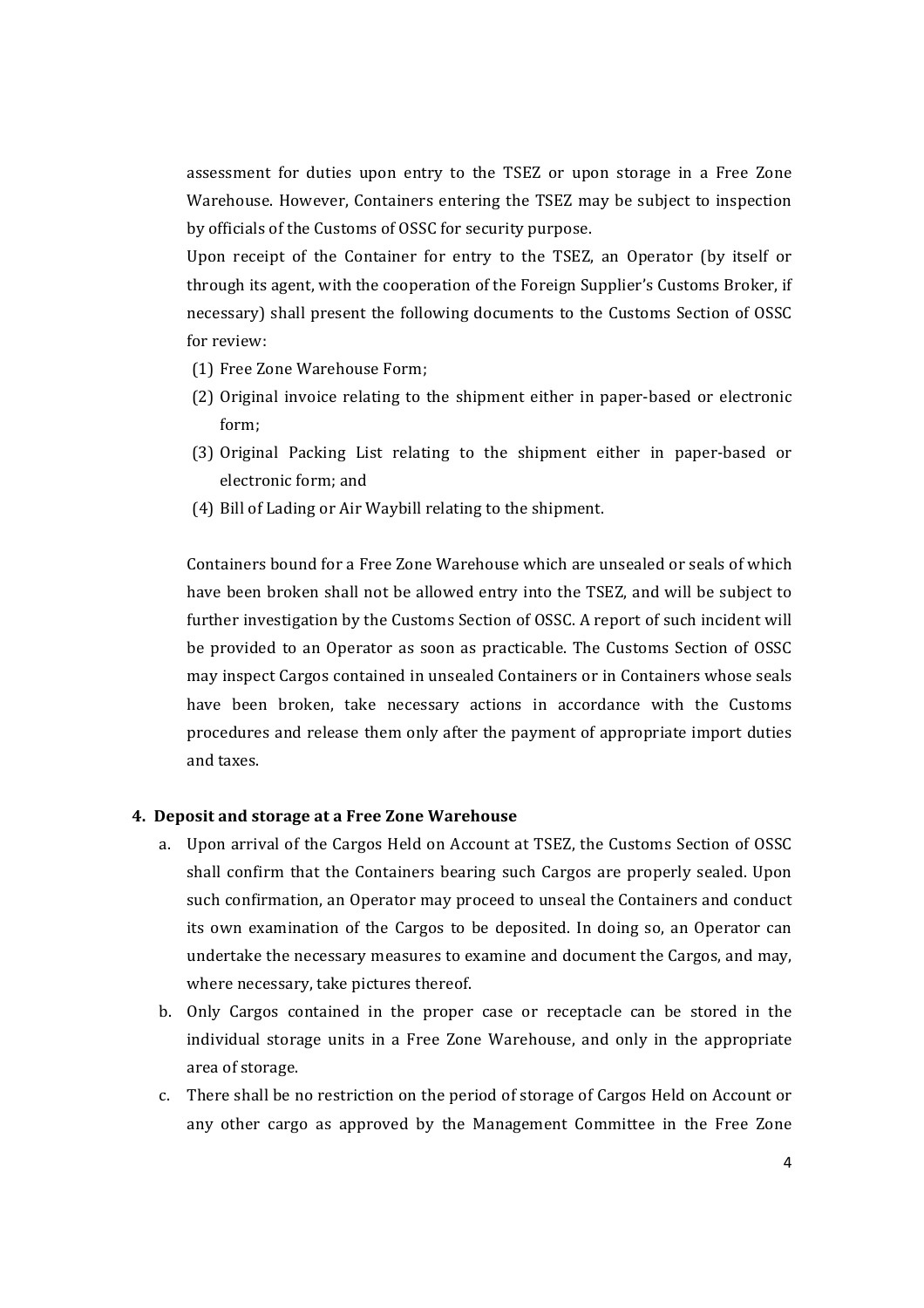assessment for duties upon entry to the TSEZ or upon storage in a Free Zone Warehouse. However, Containers entering the TSEZ may be subject to inspection by officials of the Customs of OSSC for security purpose.

Upon receipt of the Container for entry to the TSEZ, an Operator (by itself or through its agent, with the cooperation of the Foreign Supplier's Customs Broker, if necessary) shall present the following documents to the Customs Section of OSSC for review:

- (1) Free Zone Warehouse Form:
- (2) Original invoice relating to the shipment either in paper-based or electronic form;
- (3) Original Packing List relating to the shipment either in paper-based or electronic form; and
- (4) Bill of Lading or Air Waybill relating to the shipment.

Containers bound for a Free Zone Warehouse which are unsealed or seals of which have been broken shall not be allowed entry into the TSEZ, and will be subject to further investigation by the Customs Section of OSSC. A report of such incident will be provided to an Operator as soon as practicable. The Customs Section of OSSC may inspect Cargos contained in unsealed Containers or in Containers whose seals have been broken, take necessary actions in accordance with the Customs procedures and release them only after the payment of appropriate import duties and taxes.

#### **4. Deposit and storage at a Free Zone Warehouse**

- a. Upon arrival of the Cargos Held on Account at TSEZ, the Customs Section of OSSC shall confirm that the Containers bearing such Cargos are properly sealed. Upon such confirmation, an Operator may proceed to unseal the Containers and conduct its own examination of the Cargos to be deposited. In doing so, an Operator can undertake the necessary measures to examine and document the Cargos, and may, where necessary, take pictures thereof.
- b. Only Cargos contained in the proper case or receptacle can be stored in the individual storage units in a Free Zone Warehouse, and only in the appropriate area of storage.
- c. There shall be no restriction on the period of storage of Cargos Held on Account or any other cargo as approved by the Management Committee in the Free Zone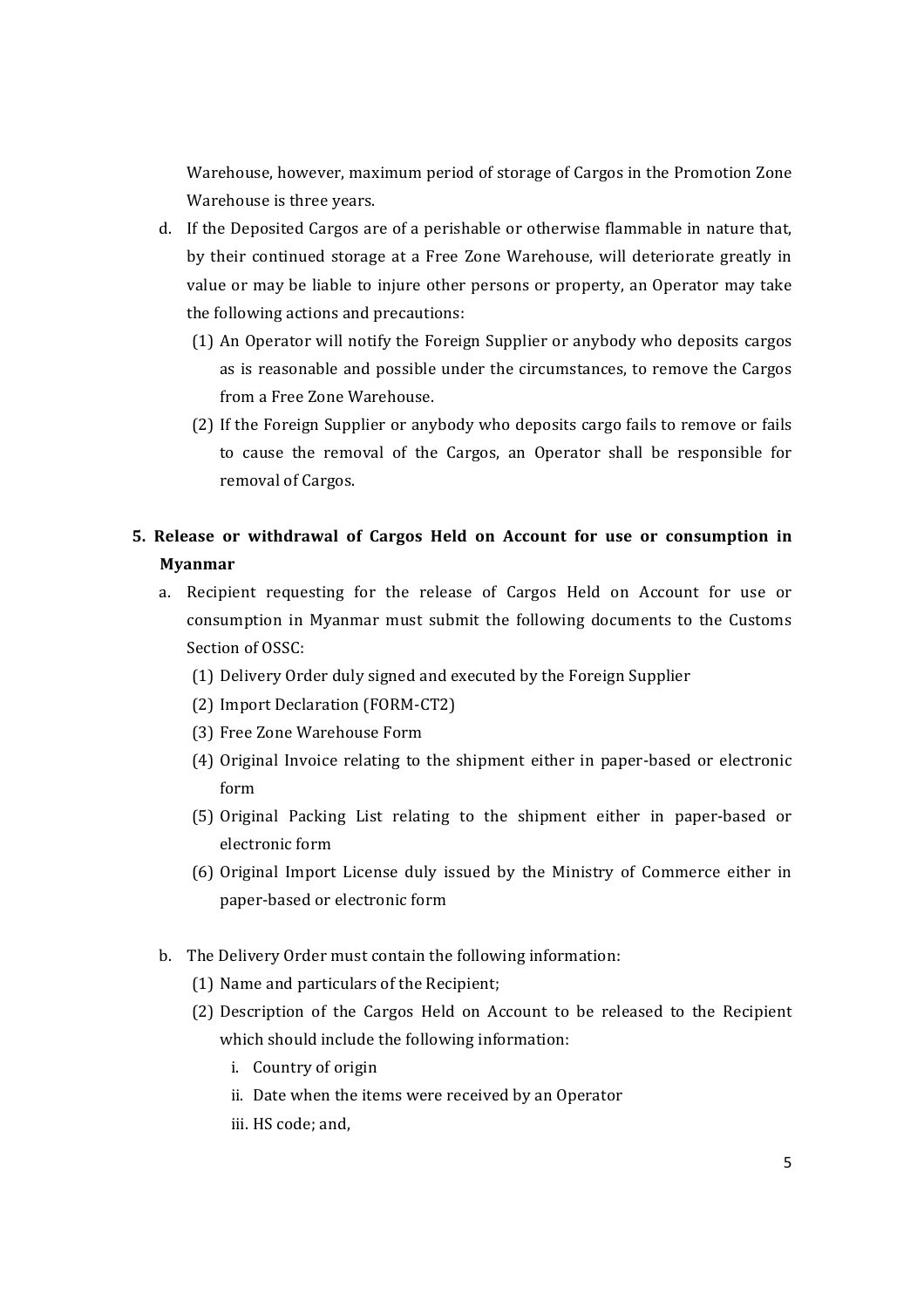Warehouse, however, maximum period of storage of Cargos in the Promotion Zone Warehouse is three years.

- d. If the Deposited Cargos are of a perishable or otherwise flammable in nature that, by their continued storage at a Free Zone Warehouse, will deteriorate greatly in value or may be liable to injure other persons or property, an Operator may take the following actions and precautions:
	- (1) An Operator will notify the Foreign Supplier or anybody who deposits cargos as is reasonable and possible under the circumstances, to remove the Cargos from a Free Zone Warehouse.
	- (2) If the Foreign Supplier or anybody who deposits cargo fails to remove or fails to cause the removal of the Cargos, an Operator shall be responsible for removal of Cargos.

# **5.** Release or withdrawal of Cargos Held on Account for use or consumption in **Myanmar**

- a. Recipient requesting for the release of Cargos Held on Account for use or consumption in Myanmar must submit the following documents to the Customs Section of OSSC:
	- (1) Delivery Order duly signed and executed by the Foreign Supplier
	- (2) Import Declaration (FORM-CT2)
	- (3) Free Zone Warehouse Form
	- (4) Original Invoice relating to the shipment either in paper-based or electronic form
	- (5) Original Packing List relating to the shipment either in paper-based or electronic form
	- (6) Original Import License duly issued by the Ministry of Commerce either in paper-based or electronic form
- b. The Delivery Order must contain the following information:
	- (1) Name and particulars of the Recipient;
	- (2) Description of the Cargos Held on Account to be released to the Recipient which should include the following information:
		- i. Country of origin
		- ii. Date when the items were received by an Operator
		- iii. HS code; and,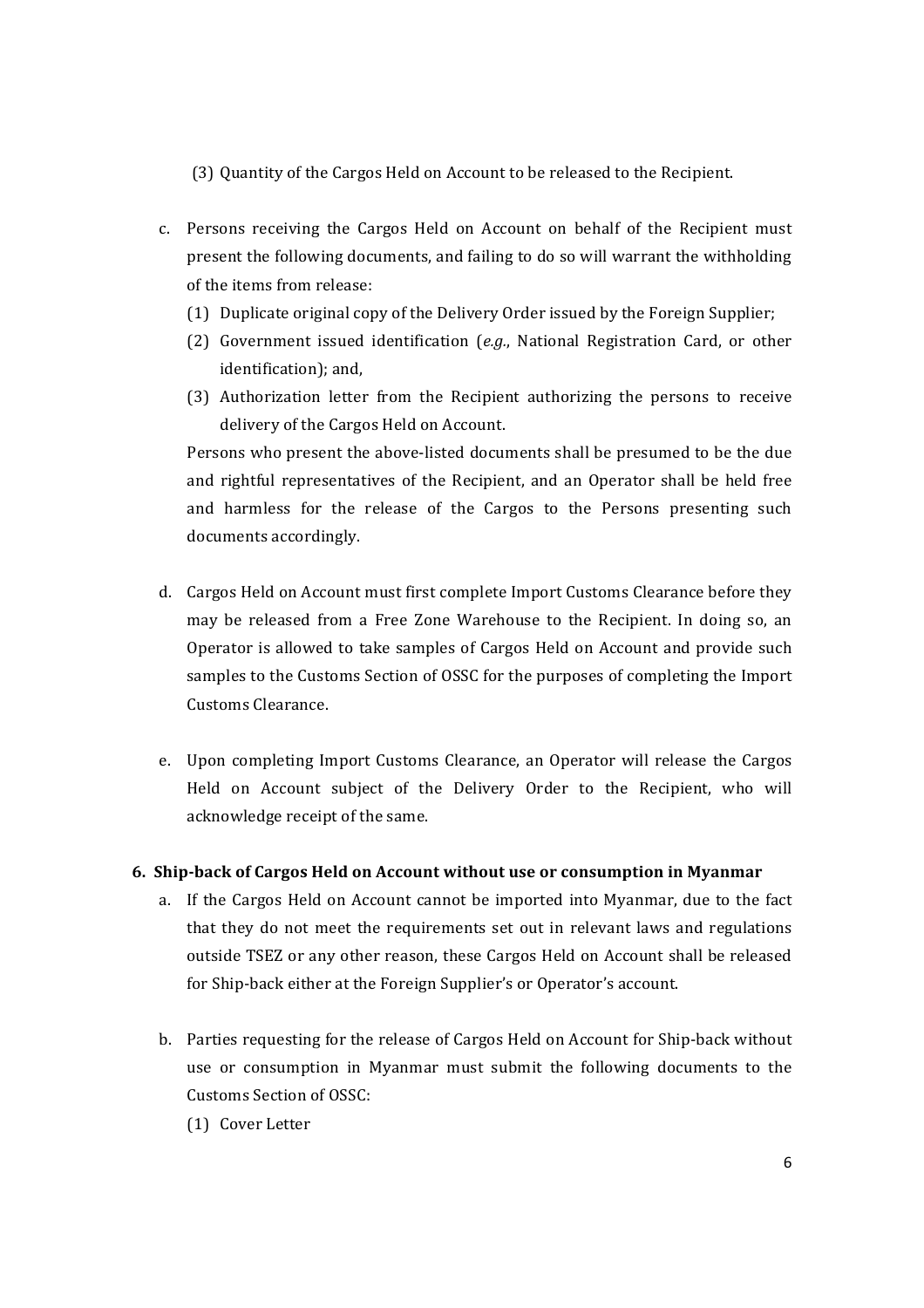(3) Quantity of the Cargos Held on Account to be released to the Recipient.

- c. Persons receiving the Cargos Held on Account on behalf of the Recipient must present the following documents, and failing to do so will warrant the withholding of the items from release:
	- (1) Duplicate original copy of the Delivery Order issued by the Foreign Supplier;
	- (2) Government issued identification (*e.g.*, National Registration Card, or other identification); and,
	- (3) Authorization letter from the Recipient authorizing the persons to receive delivery of the Cargos Held on Account.

Persons who present the above-listed documents shall be presumed to be the due and rightful representatives of the Recipient, and an Operator shall be held free and harmless for the release of the Cargos to the Persons presenting such documents accordingly.

- d. Cargos Held on Account must first complete Import Customs Clearance before they may be released from a Free Zone Warehouse to the Recipient. In doing so, an Operator is allowed to take samples of Cargos Held on Account and provide such samples to the Customs Section of OSSC for the purposes of completing the Import Customs Clearance.
- e. Upon completing Import Customs Clearance, an Operator will release the Cargos Held on Account subject of the Delivery Order to the Recipient, who will acknowledge receipt of the same.

### **6. Ship-back of Cargos Held on Account without use or consumption in Myanmar**

- a. If the Cargos Held on Account cannot be imported into Myanmar, due to the fact that they do not meet the requirements set out in relevant laws and regulations outside TSEZ or any other reason, these Cargos Held on Account shall be released for Ship-back either at the Foreign Supplier's or Operator's account.
- b. Parties requesting for the release of Cargos Held on Account for Ship-back without use or consumption in Myanmar must submit the following documents to the Customs Section of OSSC:
	- (1) Cover Letter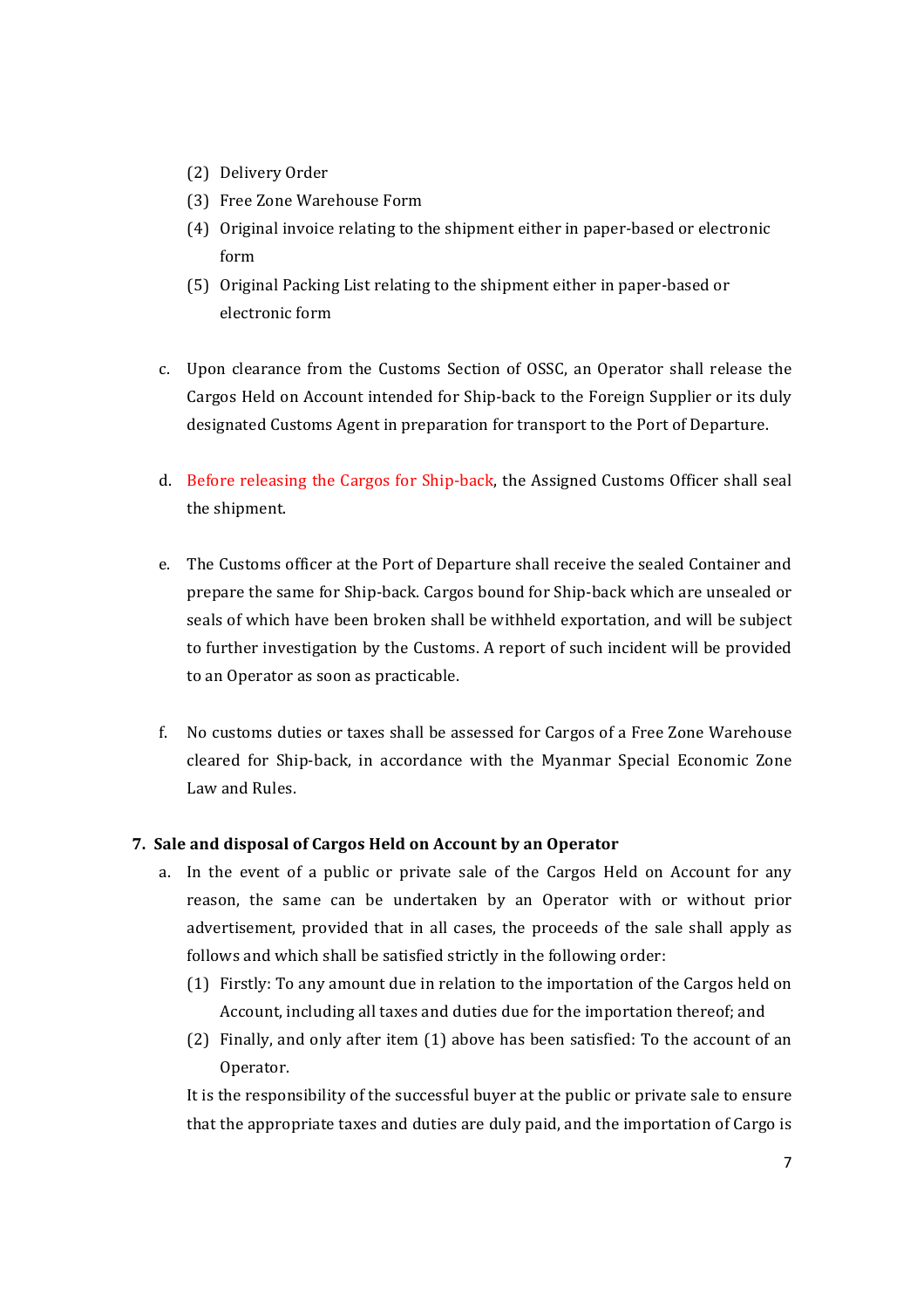- (2) Delivery Order
- (3) Free Zone Warehouse Form
- (4) Original invoice relating to the shipment either in paper-based or electronic form
- (5) Original Packing List relating to the shipment either in paper-based or electronic form
- c. Upon clearance from the Customs Section of OSSC, an Operator shall release the Cargos Held on Account intended for Ship-back to the Foreign Supplier or its duly designated Customs Agent in preparation for transport to the Port of Departure.
- d. Before releasing the Cargos for Ship-back, the Assigned Customs Officer shall seal the shipment.
- e. The Customs officer at the Port of Departure shall receive the sealed Container and prepare the same for Ship-back. Cargos bound for Ship-back which are unsealed or seals of which have been broken shall be withheld exportation, and will be subject to further investigation by the Customs. A report of such incident will be provided to an Operator as soon as practicable.
- f. No customs duties or taxes shall be assessed for Cargos of a Free Zone Warehouse cleared for Ship-back, in accordance with the Myanmar Special Economic Zone Law and Rules.

### **7. Sale and disposal of Cargos Held on Account by an Operator**

- a. In the event of a public or private sale of the Cargos Held on Account for any reason, the same can be undertaken by an Operator with or without prior advertisement, provided that in all cases, the proceeds of the sale shall apply as follows and which shall be satisfied strictly in the following order:
	- (1) Firstly: To any amount due in relation to the importation of the Cargos held on Account, including all taxes and duties due for the importation thereof; and
	- (2) Finally, and only after item (1) above has been satisfied: To the account of an Operator.

It is the responsibility of the successful buyer at the public or private sale to ensure that the appropriate taxes and duties are duly paid, and the importation of Cargo is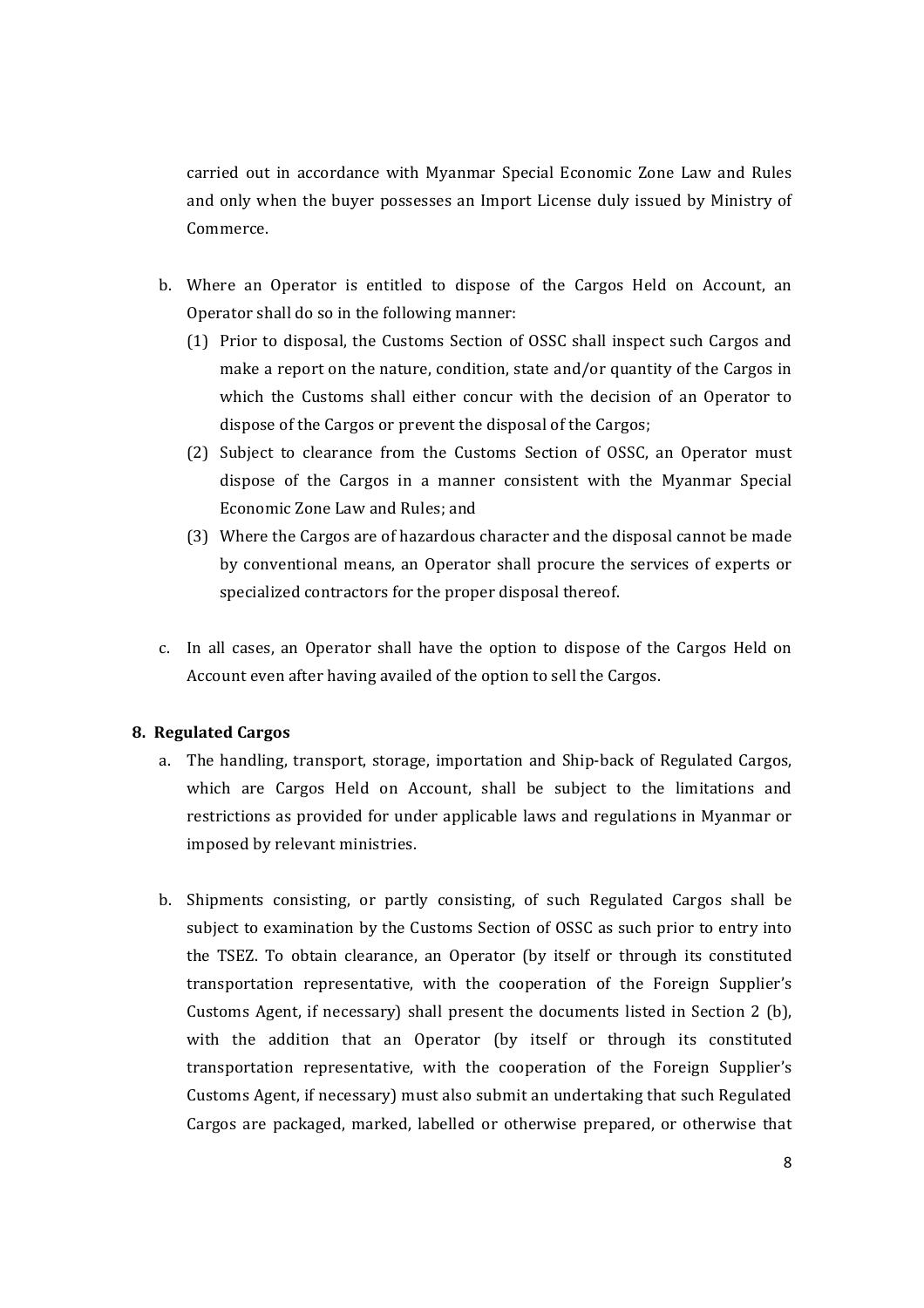carried out in accordance with Myanmar Special Economic Zone Law and Rules and only when the buyer possesses an Import License duly issued by Ministry of Commerce. 

- b. Where an Operator is entitled to dispose of the Cargos Held on Account, an Operator shall do so in the following manner:
	- (1) Prior to disposal, the Customs Section of OSSC shall inspect such Cargos and make a report on the nature, condition, state and/or quantity of the Cargos in which the Customs shall either concur with the decision of an Operator to dispose of the Cargos or prevent the disposal of the Cargos;
	- (2) Subject to clearance from the Customs Section of OSSC, an Operator must dispose of the Cargos in a manner consistent with the Myanmar Special Economic Zone Law and Rules; and
	- (3) Where the Cargos are of hazardous character and the disposal cannot be made by conventional means, an Operator shall procure the services of experts or specialized contractors for the proper disposal thereof.
- c. In all cases, an Operator shall have the option to dispose of the Cargos Held on Account even after having availed of the option to sell the Cargos.

### **8. Regulated Cargos**

- a. The handling, transport, storage, importation and Ship-back of Regulated Cargos, which are Cargos Held on Account, shall be subject to the limitations and restrictions as provided for under applicable laws and regulations in Myanmar or imposed by relevant ministries.
- b. Shipments consisting, or partly consisting, of such Regulated Cargos shall be subject to examination by the Customs Section of OSSC as such prior to entry into the TSEZ. To obtain clearance, an Operator (by itself or through its constituted transportation representative, with the cooperation of the Foreign Supplier's Customs Agent, if necessary) shall present the documents listed in Section 2 (b), with the addition that an Operator (by itself or through its constituted transportation representative, with the cooperation of the Foreign Supplier's Customs Agent, if necessary) must also submit an undertaking that such Regulated Cargos are packaged, marked, labelled or otherwise prepared, or otherwise that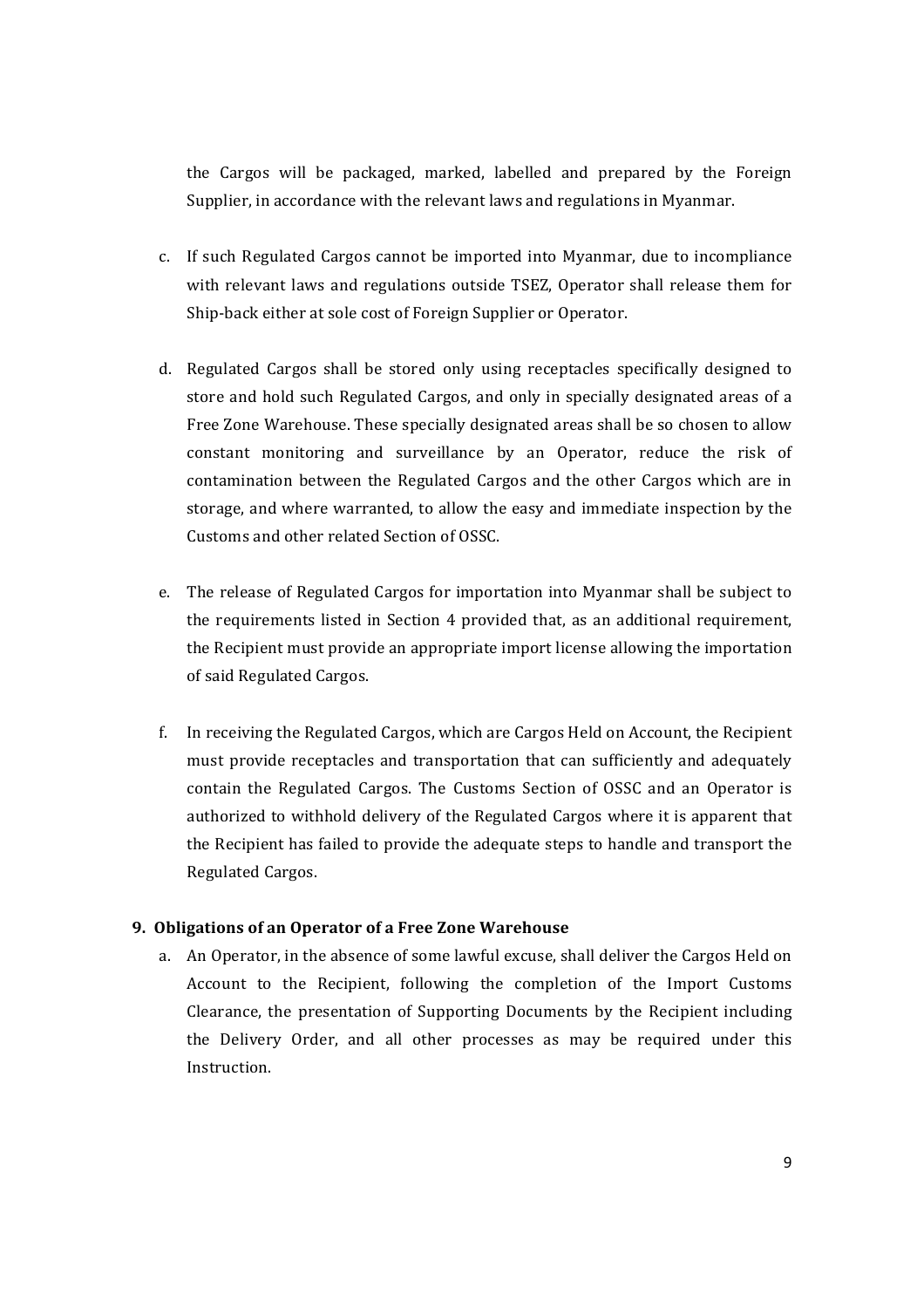the Cargos will be packaged, marked, labelled and prepared by the Foreign Supplier, in accordance with the relevant laws and regulations in Myanmar.

- c. If such Regulated Cargos cannot be imported into Myanmar, due to incompliance with relevant laws and regulations outside TSEZ, Operator shall release them for Ship-back either at sole cost of Foreign Supplier or Operator.
- d. Regulated Cargos shall be stored only using receptacles specifically designed to store and hold such Regulated Cargos, and only in specially designated areas of a Free Zone Warehouse. These specially designated areas shall be so chosen to allow constant monitoring and surveillance by an Operator, reduce the risk of contamination between the Regulated Cargos and the other Cargos which are in storage, and where warranted, to allow the easy and immediate inspection by the Customs and other related Section of OSSC.
- e. The release of Regulated Cargos for importation into Myanmar shall be subject to the requirements listed in Section 4 provided that, as an additional requirement, the Recipient must provide an appropriate import license allowing the importation of said Regulated Cargos.
- f. In receiving the Regulated Cargos, which are Cargos Held on Account, the Recipient must provide receptacles and transportation that can sufficiently and adequately contain the Regulated Cargos. The Customs Section of OSSC and an Operator is authorized to withhold delivery of the Regulated Cargos where it is apparent that the Recipient has failed to provide the adequate steps to handle and transport the Regulated Cargos.

### **9. Obligations of an Operator of a Free Zone Warehouse**

a. An Operator, in the absence of some lawful excuse, shall deliver the Cargos Held on Account to the Recipient, following the completion of the Import Customs Clearance, the presentation of Supporting Documents by the Recipient including the Delivery Order, and all other processes as may be required under this Instruction.